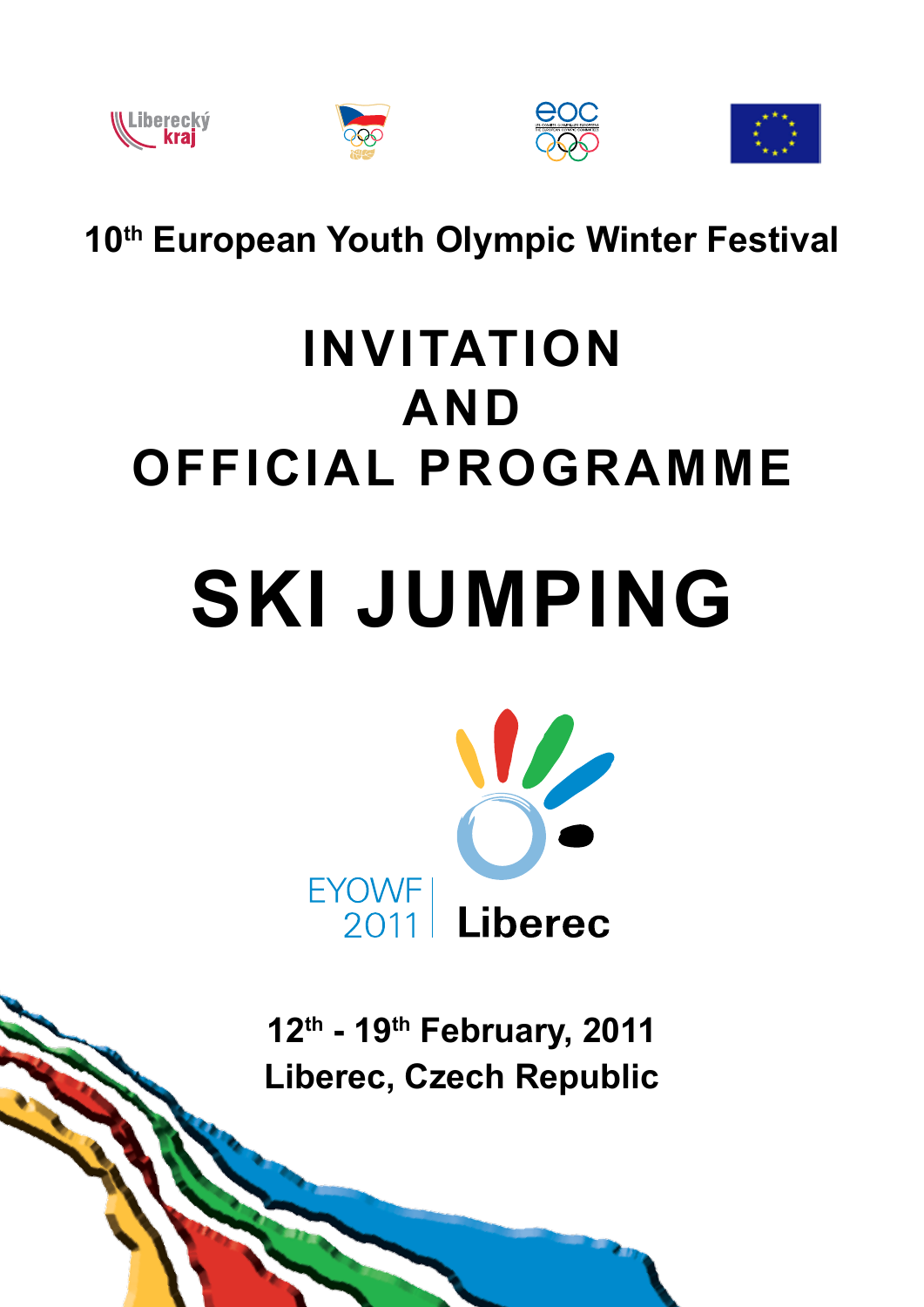

**WLiberecký**<br>Kraj





**10th European Youth Olympic Winter Festival**

## **invitation and official programme**

# **ski jumping**



**12th - 19th February, 2011 Liberec, Czech Republic**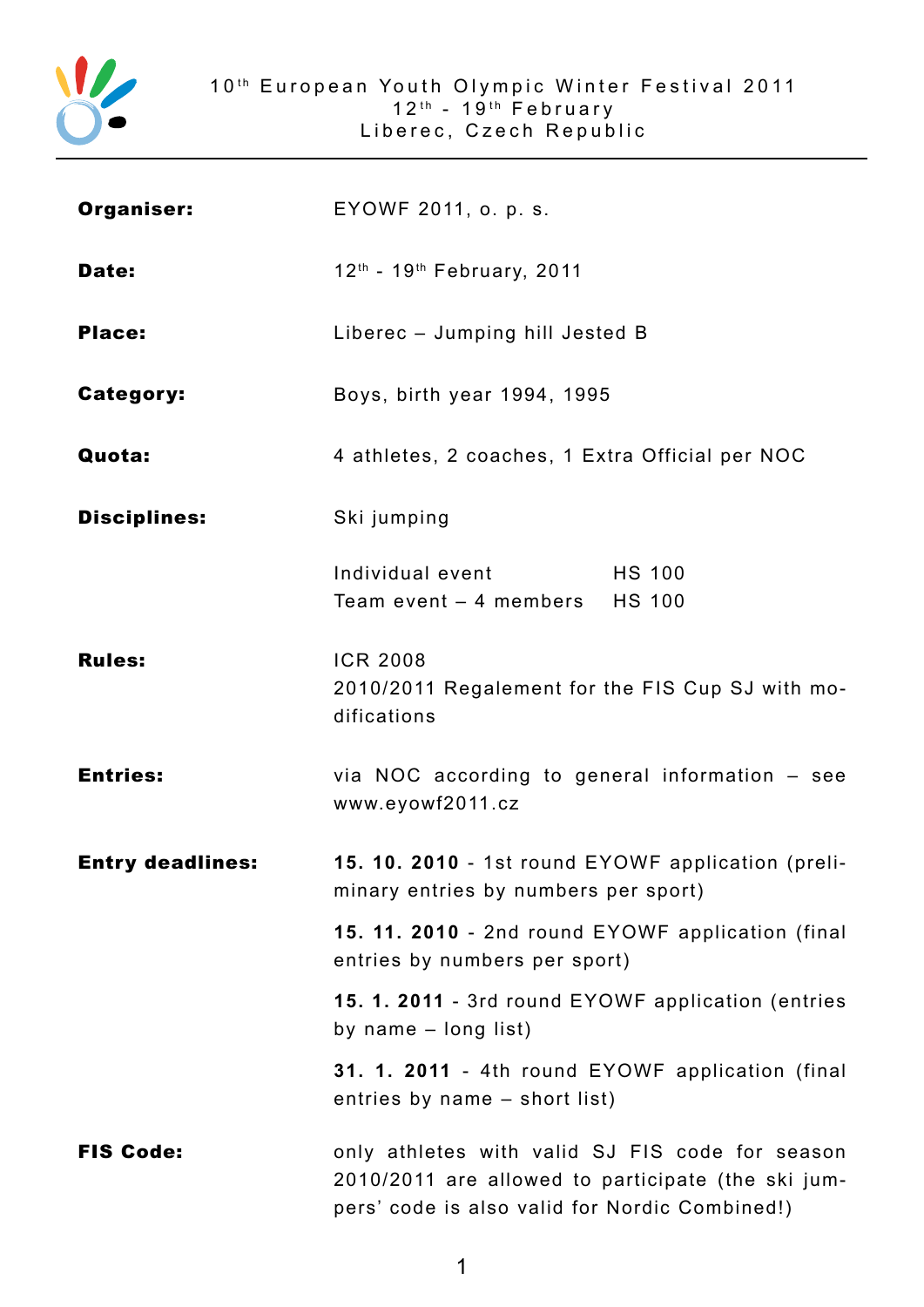

| Organiser:              | EYOWF 2011, o. p. s.                                                                                                                                    |  |
|-------------------------|---------------------------------------------------------------------------------------------------------------------------------------------------------|--|
| Date:                   | 12 <sup>th</sup> - 19 <sup>th</sup> February, 2011                                                                                                      |  |
| <b>Place:</b>           | Liberec - Jumping hill Jested B                                                                                                                         |  |
| <b>Category:</b>        | Boys, birth year 1994, 1995                                                                                                                             |  |
| Quota:                  | 4 athletes, 2 coaches, 1 Extra Official per NOC                                                                                                         |  |
| <b>Disciplines:</b>     | Ski jumping                                                                                                                                             |  |
|                         | Individual event<br><b>HS 100</b><br>Team event - 4 members HS 100                                                                                      |  |
| <b>Rules:</b>           | <b>ICR 2008</b><br>2010/2011 Regalement for the FIS Cup SJ with mo-<br>difications                                                                      |  |
| <b>Entries:</b>         | via NOC according to general information - see<br>www.eyowf2011.cz                                                                                      |  |
| <b>Entry deadlines:</b> | 15. 10. 2010 - 1st round EYOWF application (preli-<br>minary entries by numbers per sport)                                                              |  |
|                         | 15. 11. 2010 - 2nd round EYOWF application (final<br>entries by numbers per sport)                                                                      |  |
|                         | 15. 1. 2011 - 3rd round EYOWF application (entries<br>by name $-$ long list)                                                                            |  |
|                         | 31. 1. 2011 - 4th round EYOWF application (final<br>entries by name – short list)                                                                       |  |
| <b>FIS Code:</b>        | only athletes with valid SJ FIS code for season<br>2010/2011 are allowed to participate (the ski jum-<br>pers' code is also valid for Nordic Combined!) |  |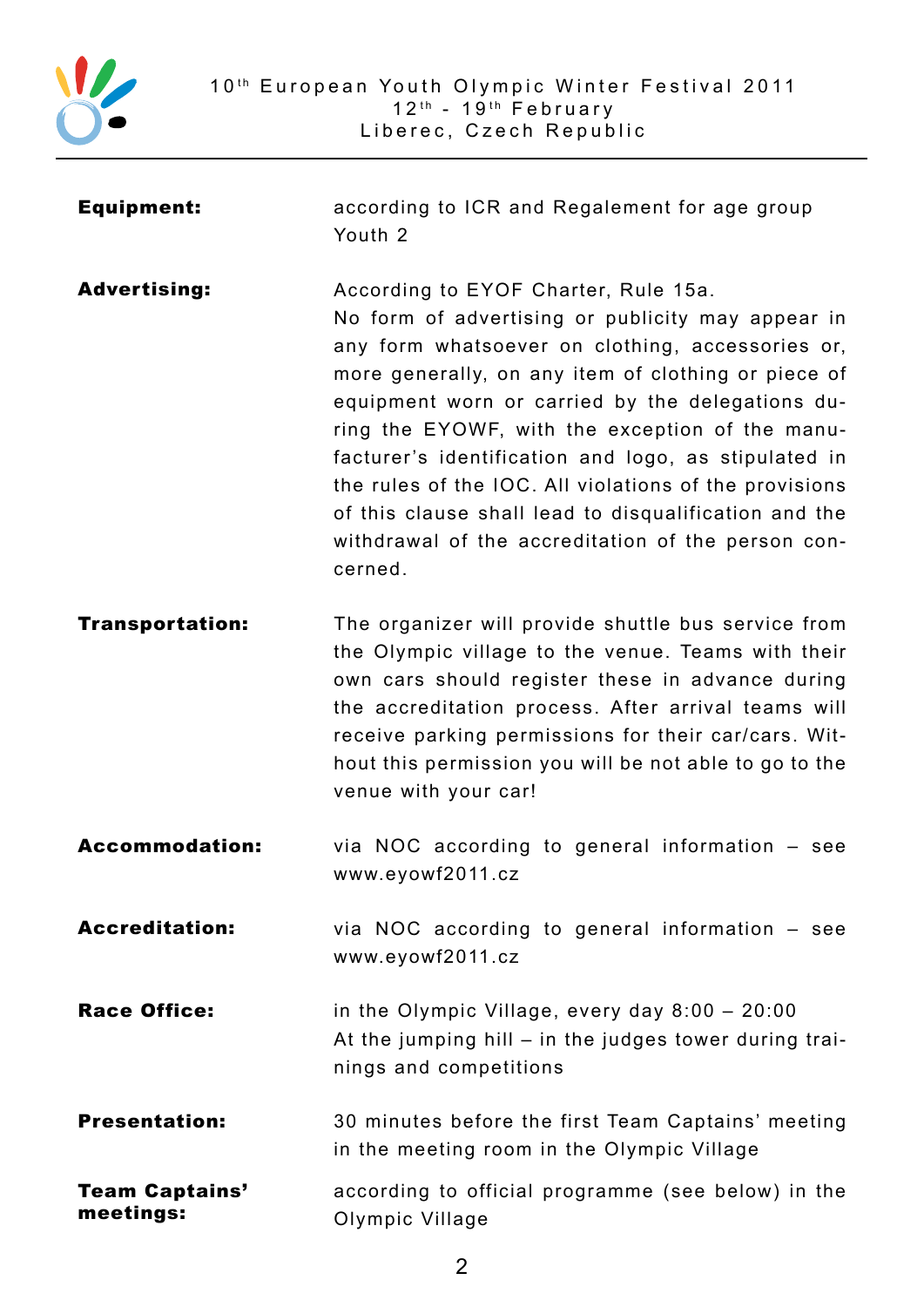

| <b>Equipment:</b>                  | according to ICR and Regalement for age group<br>Youth 2                                                                                                                                                                                                                                                                                                                                                                                                                                                                                                |
|------------------------------------|---------------------------------------------------------------------------------------------------------------------------------------------------------------------------------------------------------------------------------------------------------------------------------------------------------------------------------------------------------------------------------------------------------------------------------------------------------------------------------------------------------------------------------------------------------|
| <b>Advertising:</b>                | According to EYOF Charter, Rule 15a.<br>No form of advertising or publicity may appear in<br>any form whatsoever on clothing, accessories or,<br>more generally, on any item of clothing or piece of<br>equipment worn or carried by the delegations du-<br>ring the EYOWF, with the exception of the manu-<br>facturer's identification and logo, as stipulated in<br>the rules of the IOC. All violations of the provisions<br>of this clause shall lead to disqualification and the<br>withdrawal of the accreditation of the person con-<br>cerned. |
| <b>Transportation:</b>             | The organizer will provide shuttle bus service from<br>the Olympic village to the venue. Teams with their<br>own cars should register these in advance during<br>the accreditation process. After arrival teams will<br>receive parking permissions for their car/cars. Wit-<br>hout this permission you will be not able to go to the<br>venue with your car!                                                                                                                                                                                          |
| <b>Accommodation:</b>              | via NOC according to general information - see<br>www.eyowf2011.cz                                                                                                                                                                                                                                                                                                                                                                                                                                                                                      |
| <b>Accreditation:</b>              | via NOC according to general information - see<br>www.eyowf2011.cz                                                                                                                                                                                                                                                                                                                                                                                                                                                                                      |
| <b>Race Office:</b>                | in the Olympic Village, every day $8:00 - 20:00$<br>At the jumping hill – in the judges tower during trai-<br>nings and competitions                                                                                                                                                                                                                                                                                                                                                                                                                    |
| <b>Presentation:</b>               | 30 minutes before the first Team Captains' meeting<br>in the meeting room in the Olympic Village                                                                                                                                                                                                                                                                                                                                                                                                                                                        |
| <b>Team Captains'</b><br>meetings: | according to official programme (see below) in the<br>Olympic Village                                                                                                                                                                                                                                                                                                                                                                                                                                                                                   |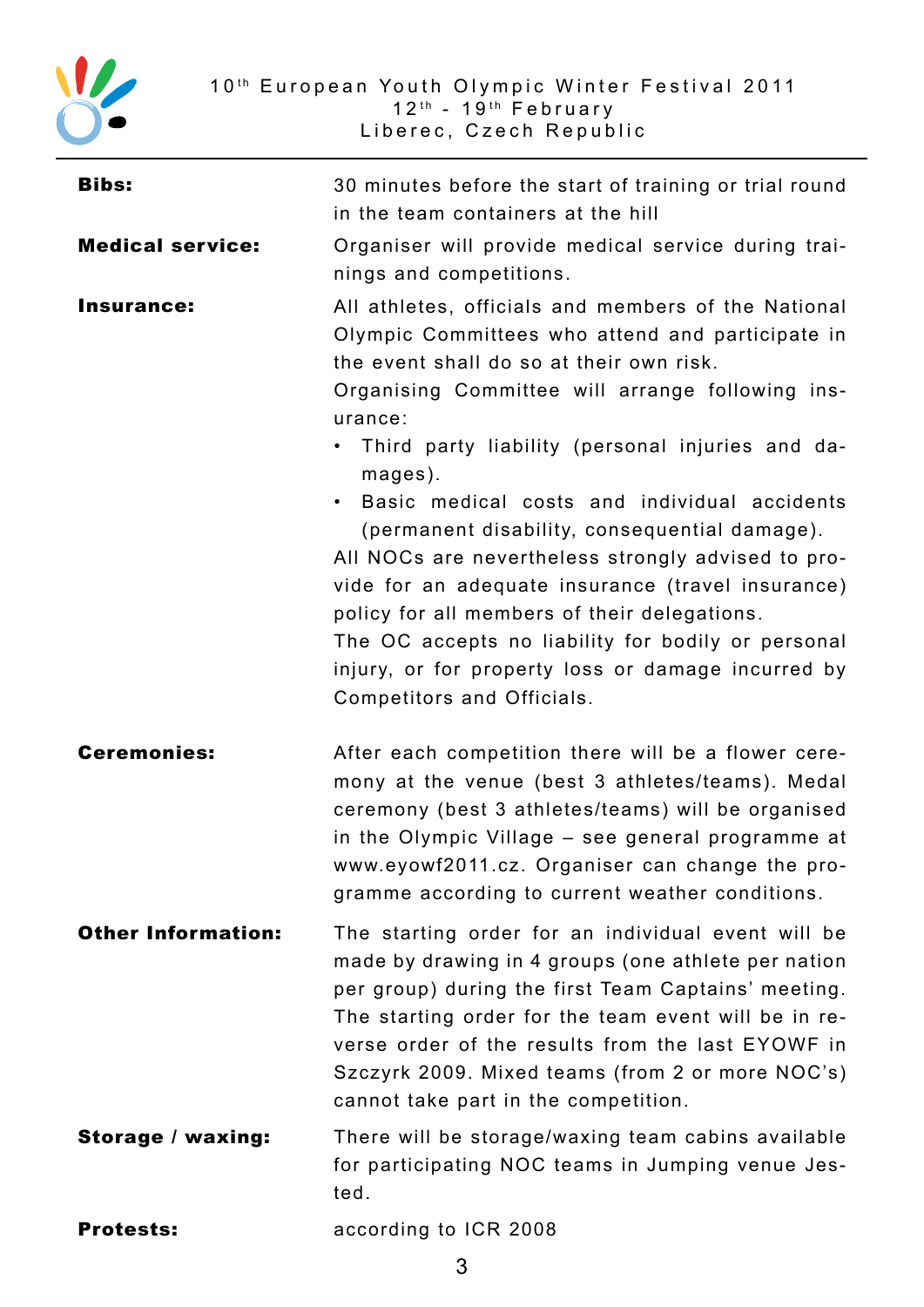

| <b>Bibs:</b>              | 30 minutes before the start of training or trial round<br>in the team containers at the hill                                                                                                                                                                                                                                                                                                                                                                                                                                                                                                                                                                                                           |
|---------------------------|--------------------------------------------------------------------------------------------------------------------------------------------------------------------------------------------------------------------------------------------------------------------------------------------------------------------------------------------------------------------------------------------------------------------------------------------------------------------------------------------------------------------------------------------------------------------------------------------------------------------------------------------------------------------------------------------------------|
| <b>Medical service:</b>   | Organiser will provide medical service during trai-<br>nings and competitions.                                                                                                                                                                                                                                                                                                                                                                                                                                                                                                                                                                                                                         |
| <b>Insurance:</b>         | All athletes, officials and members of the National<br>Olympic Committees who attend and participate in<br>the event shall do so at their own risk.<br>Organising Committee will arrange following ins-<br>urance:<br>• Third party liability (personal injuries and da-<br>mages).<br>Basic medical costs and individual accidents<br>$\bullet$<br>(permanent disability, consequential damage).<br>All NOCs are nevertheless strongly advised to pro-<br>vide for an adequate insurance (travel insurance)<br>policy for all members of their delegations.<br>The OC accepts no liability for bodily or personal<br>injury, or for property loss or damage incurred by<br>Competitors and Officials. |
| <b>Ceremonies:</b>        | After each competition there will be a flower cere-<br>mony at the venue (best 3 athletes/teams). Medal<br>ceremony (best 3 athletes/teams) will be organised<br>in the Olympic Village - see general programme at<br>www.eyowf2011.cz. Organiser can change the pro-<br>gramme according to current weather conditions.                                                                                                                                                                                                                                                                                                                                                                               |
| <b>Other Information:</b> | The starting order for an individual event will be<br>made by drawing in 4 groups (one athlete per nation<br>per group) during the first Team Captains' meeting.<br>The starting order for the team event will be in re-<br>verse order of the results from the last EYOWF in<br>Szczyrk 2009. Mixed teams (from 2 or more NOC's)<br>cannot take part in the competition.                                                                                                                                                                                                                                                                                                                              |
| <b>Storage / waxing:</b>  | There will be storage/waxing team cabins available<br>for participating NOC teams in Jumping venue Jes-<br>ted.                                                                                                                                                                                                                                                                                                                                                                                                                                                                                                                                                                                        |
| <b>Protests:</b>          | according to ICR 2008                                                                                                                                                                                                                                                                                                                                                                                                                                                                                                                                                                                                                                                                                  |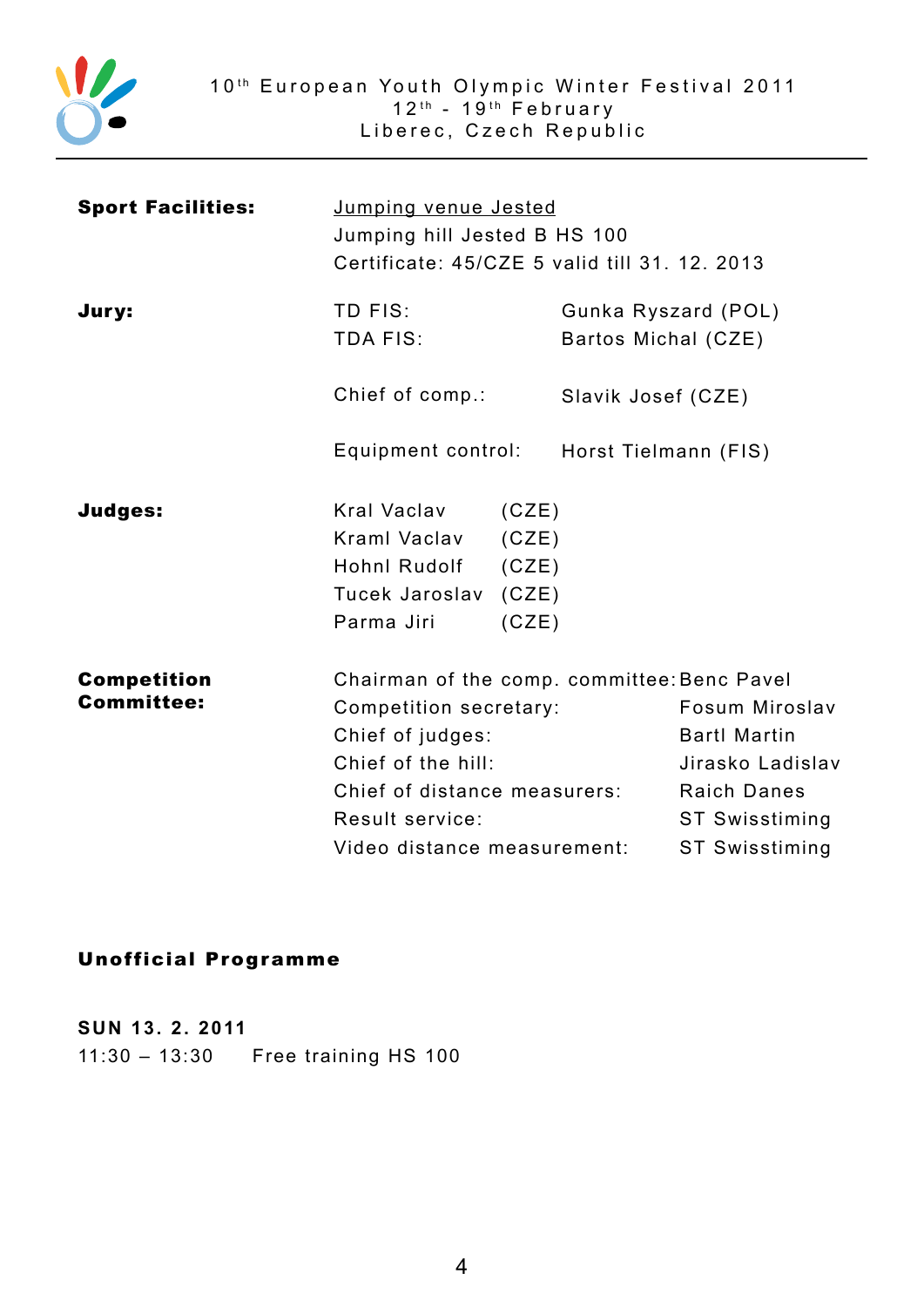

| <b>Sport Facilities:</b>                | Jumping venue Jested<br>Jumping hill Jested B HS 100<br>Certificate: 45/CZE 5 valid till 31. 12. 2013                                              |                                                                                                                                                                                  |  |
|-----------------------------------------|----------------------------------------------------------------------------------------------------------------------------------------------------|----------------------------------------------------------------------------------------------------------------------------------------------------------------------------------|--|
| Jury:                                   | TD FIS:<br><b>TDA FIS:</b>                                                                                                                         | Gunka Ryszard (POL)<br>Bartos Michal (CZE)                                                                                                                                       |  |
|                                         | Chief of comp.:                                                                                                                                    | Slavik Josef (CZE)                                                                                                                                                               |  |
|                                         | Equipment control: Horst Tielmann (FIS)                                                                                                            |                                                                                                                                                                                  |  |
| <b>Judges:</b>                          | Kral Vaclav (CZE)<br>Kraml Vaclav (CZE)<br>Hohnl Rudolf (CZE)<br>Tucek Jaroslav (CZE)<br>Parma Jiri<br>(CZE)                                       |                                                                                                                                                                                  |  |
| <b>Competition</b><br><b>Committee:</b> | Competition secretary:<br>Chief of judges:<br>Chief of the hill:<br>Chief of distance measurers:<br>Result service:<br>Video distance measurement: | Chairman of the comp. committee: Benc Pavel<br>Fosum Miroslav<br><b>Bartl Martin</b><br>Jirasko Ladislav<br><b>Raich Danes</b><br><b>ST Swisstiming</b><br><b>ST Swisstiming</b> |  |

### Unofficial Programme

**SUN 13. 2. 2011** 11:30 – 13:30 Free training HS 100